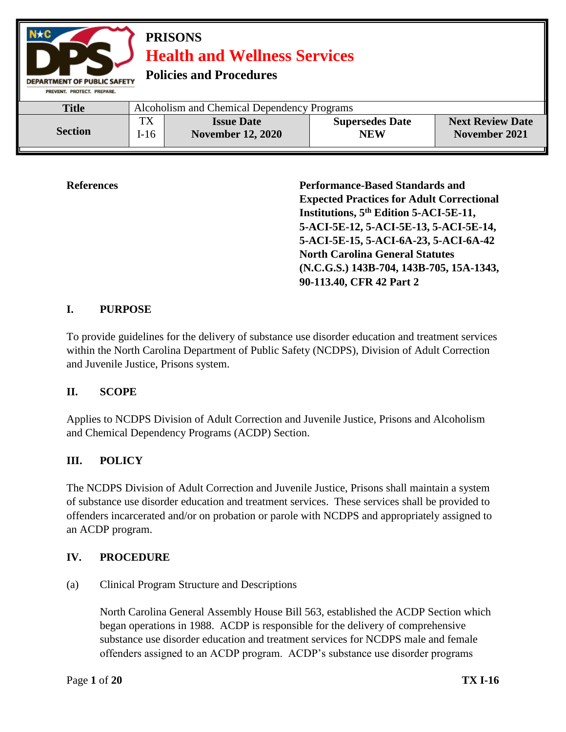| $N \star C$<br><b>PRISONS</b><br><b>Health and Wellness Services</b><br><b>Policies and Procedures</b><br><b>DEPARTMENT OF PUBLIC SAFETY</b><br>PREVENT, PROTECT, PREPARE, |                                             |                                               |                                      |                                          |  |
|----------------------------------------------------------------------------------------------------------------------------------------------------------------------------|---------------------------------------------|-----------------------------------------------|--------------------------------------|------------------------------------------|--|
| <b>Title</b>                                                                                                                                                               | Alcoholism and Chemical Dependency Programs |                                               |                                      |                                          |  |
| <b>Section</b>                                                                                                                                                             | <b>TX</b><br>$I-16$                         | <b>Issue Date</b><br><b>November 12, 2020</b> | <b>Supersedes Date</b><br><b>NEW</b> | <b>Next Review Date</b><br>November 2021 |  |

**References Performance-Based Standards and Expected Practices for Adult Correctional Institutions, 5th Edition 5-ACI-5E-11, 5-ACI-5E-12, 5-ACI-5E-13, 5-ACI-5E-14, 5-ACI-5E-15, 5-ACI-6A-23, 5-ACI-6A-42 North Carolina General Statutes (N.C.G.S.) 143B-704, 143B-705, 15A-1343, 90-113.40, CFR 42 Part 2**

# **I. PURPOSE**

To provide guidelines for the delivery of substance use disorder education and treatment services within the North Carolina Department of Public Safety (NCDPS), Division of Adult Correction and Juvenile Justice, Prisons system.

# **II. SCOPE**

Applies to NCDPS Division of Adult Correction and Juvenile Justice, Prisons and Alcoholism and Chemical Dependency Programs (ACDP) Section.

# **III. POLICY**

The NCDPS Division of Adult Correction and Juvenile Justice, Prisons shall maintain a system of substance use disorder education and treatment services. These services shall be provided to offenders incarcerated and/or on probation or parole with NCDPS and appropriately assigned to an ACDP program.

# **IV. PROCEDURE**

(a) Clinical Program Structure and Descriptions

North Carolina General Assembly House Bill 563, established the ACDP Section which began operations in 1988. ACDP is responsible for the delivery of comprehensive substance use disorder education and treatment services for NCDPS male and female offenders assigned to an ACDP program. ACDP's substance use disorder programs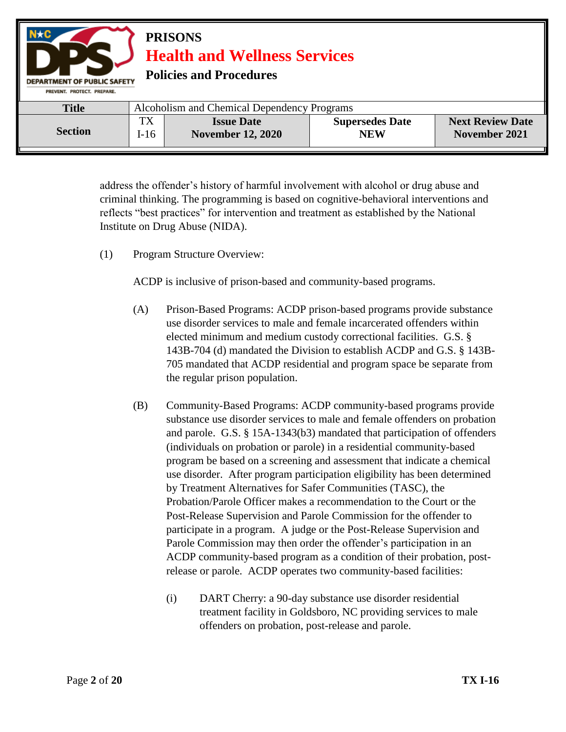| $N \star C$<br><b>PRISONS</b><br><b>Health and Wellness Services</b><br><b>Policies and Procedures</b><br><b>DEPARTMENT OF PUBLIC SAFETY</b><br>PREVENT, PROTECT, PREPARE, |                                             |                                               |                                      |                                          |  |
|----------------------------------------------------------------------------------------------------------------------------------------------------------------------------|---------------------------------------------|-----------------------------------------------|--------------------------------------|------------------------------------------|--|
| <b>Title</b>                                                                                                                                                               | Alcoholism and Chemical Dependency Programs |                                               |                                      |                                          |  |
| <b>Section</b>                                                                                                                                                             | TX<br>$I-16$                                | <b>Issue Date</b><br><b>November 12, 2020</b> | <b>Supersedes Date</b><br><b>NEW</b> | <b>Next Review Date</b><br>November 2021 |  |

address the offender's history of harmful involvement with alcohol or drug abuse and criminal thinking. The programming is based on cognitive-behavioral interventions and reflects "best practices" for intervention and treatment as established by the National Institute on Drug Abuse (NIDA).

(1) Program Structure Overview:

ACDP is inclusive of prison-based and community-based programs.

- (A) Prison-Based Programs: ACDP prison-based programs provide substance use disorder services to male and female incarcerated offenders within elected minimum and medium custody correctional facilities. G.S. § 143B-704 (d) mandated the Division to establish ACDP and G.S. § 143B-705 mandated that ACDP residential and program space be separate from the regular prison population.
- (B) Community-Based Programs: ACDP community-based programs provide substance use disorder services to male and female offenders on probation and parole. G.S. § 15A-1343(b3) mandated that participation of offenders (individuals on probation or parole) in a residential community-based program be based on a screening and assessment that indicate a chemical use disorder. After program participation eligibility has been determined by Treatment Alternatives for Safer Communities (TASC), the Probation/Parole Officer makes a recommendation to the Court or the Post-Release Supervision and Parole Commission for the offender to participate in a program. A judge or the Post-Release Supervision and Parole Commission may then order the offender's participation in an ACDP community-based program as a condition of their probation, postrelease or parole. ACDP operates two community-based facilities:
	- (i) DART Cherry: a 90-day substance use disorder residential treatment facility in Goldsboro, NC providing services to male offenders on probation, post-release and parole.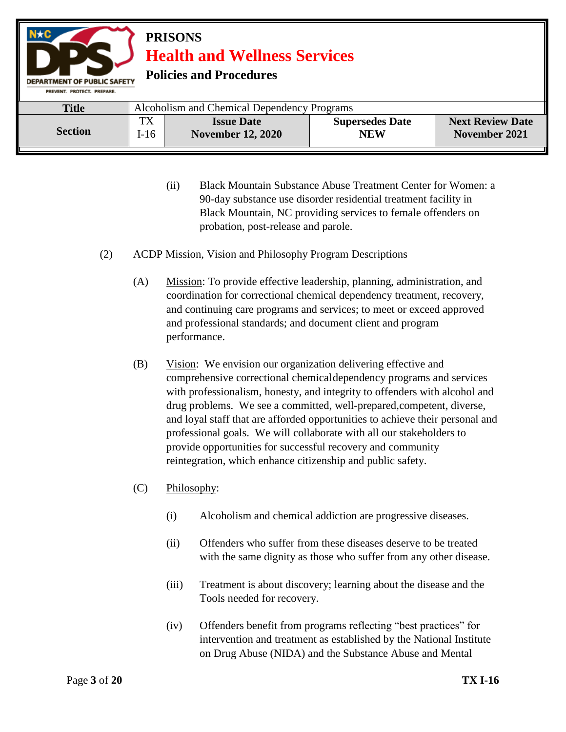

- (ii) Black Mountain Substance Abuse Treatment Center for Women: a 90-day substance use disorder residential treatment facility in Black Mountain, NC providing services to female offenders on probation, post-release and parole.
- (2) ACDP Mission, Vision and Philosophy Program Descriptions
	- (A) Mission: To provide effective leadership, planning, administration, and coordination for correctional chemical dependency treatment, recovery, and continuing care programs and services; to meet or exceed approved and professional standards; and document client and program performance.
	- (B) Vision: We envision our organization delivering effective and comprehensive correctional chemicaldependency programs and services with professionalism, honesty, and integrity to offenders with alcohol and drug problems. We see a committed, well-prepared,competent, diverse, and loyal staff that are afforded opportunities to achieve their personal and professional goals. We will collaborate with all our stakeholders to provide opportunities for successful recovery and community reintegration, which enhance citizenship and public safety.
	- (C) Philosophy:
		- (i) Alcoholism and chemical addiction are progressive diseases.
		- (ii) Offenders who suffer from these diseases deserve to be treated with the same dignity as those who suffer from any other disease.
		- (iii) Treatment is about discovery; learning about the disease and the Tools needed for recovery.
		- (iv) Offenders benefit from programs reflecting "best practices" for intervention and treatment as established by the National Institute on Drug Abuse (NIDA) and the Substance Abuse and Mental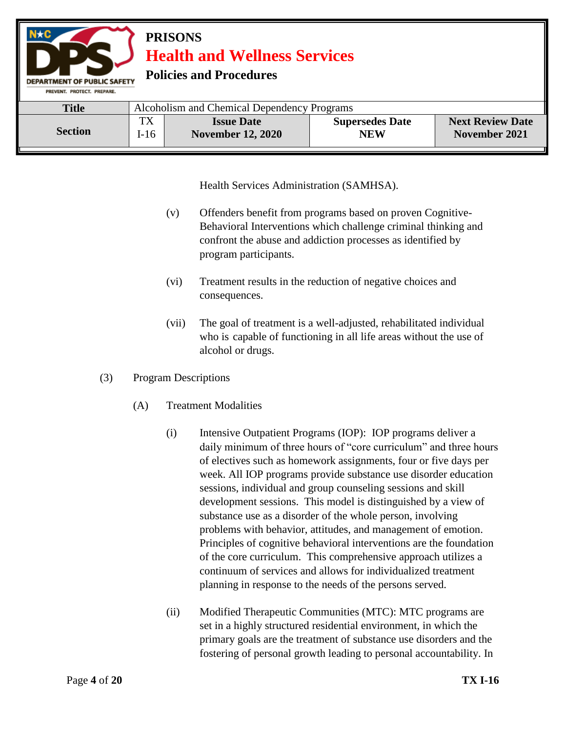

Health Services Administration (SAMHSA).

- (v) Offenders benefit from programs based on proven Cognitive-Behavioral Interventions which challenge criminal thinking and confront the abuse and addiction processes as identified by program participants.
- (vi) Treatment results in the reduction of negative choices and consequences.
- (vii) The goal of treatment is a well-adjusted, rehabilitated individual who is capable of functioning in all life areas without the use of alcohol or drugs.
- (3) Program Descriptions
	- (A) Treatment Modalities
		- (i) Intensive Outpatient Programs (IOP): IOP programs deliver a daily minimum of three hours of "core curriculum" and three hours of electives such as homework assignments, four or five days per week. All IOP programs provide substance use disorder education sessions, individual and group counseling sessions and skill development sessions. This model is distinguished by a view of substance use as a disorder of the whole person, involving problems with behavior, attitudes, and management of emotion. Principles of cognitive behavioral interventions are the foundation of the core curriculum. This comprehensive approach utilizes a continuum of services and allows for individualized treatment planning in response to the needs of the persons served.
		- (ii) Modified Therapeutic Communities (MTC): MTC programs are set in a highly structured residential environment, in which the primary goals are the treatment of substance use disorders and the fostering of personal growth leading to personal accountability. In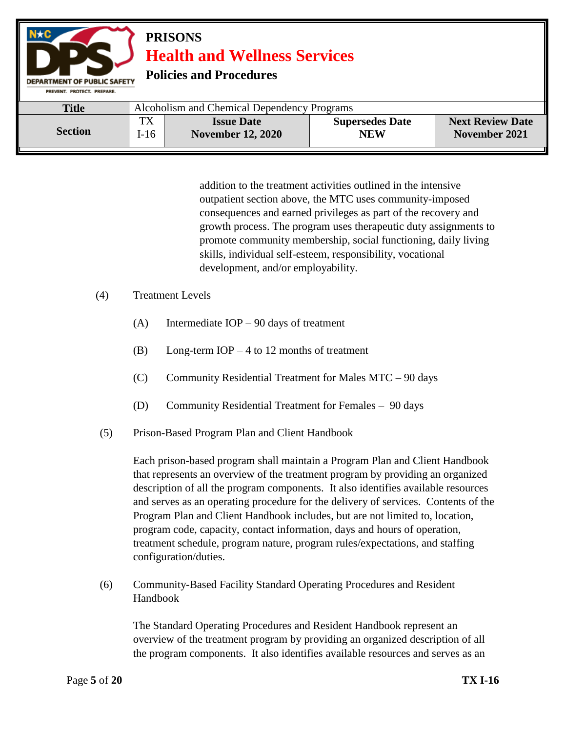

addition to the treatment activities outlined in the intensive outpatient section above, the MTC uses community-imposed consequences and earned privileges as part of the recovery and growth process. The program uses therapeutic duty assignments to promote community membership, social functioning, daily living skills, individual self-esteem, responsibility, vocational development, and/or employability.

- (4) Treatment Levels
	- (A) Intermediate IOP 90 days of treatment
	- (B) Long-term IOP 4 to 12 months of treatment
	- $(C)$  Community Residential Treatment for Males MTC 90 days
	- (D) Community Residential Treatment for Females 90 days
- (5) Prison-Based Program Plan and Client Handbook

Each prison-based program shall maintain a Program Plan and Client Handbook that represents an overview of the treatment program by providing an organized description of all the program components. It also identifies available resources and serves as an operating procedure for the delivery of services. Contents of the Program Plan and Client Handbook includes, but are not limited to, location, program code, capacity, contact information, days and hours of operation, treatment schedule, program nature, program rules/expectations, and staffing configuration/duties.

(6) Community-Based Facility Standard Operating Procedures and Resident Handbook

The Standard Operating Procedures and Resident Handbook represent an overview of the treatment program by providing an organized description of all the program components. It also identifies available resources and serves as an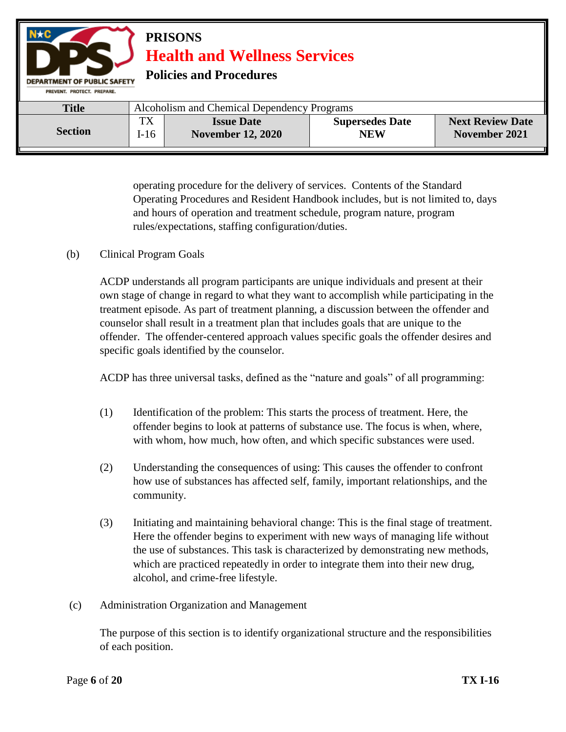

operating procedure for the delivery of services. Contents of the Standard Operating Procedures and Resident Handbook includes, but is not limited to, days and hours of operation and treatment schedule, program nature, program rules/expectations, staffing configuration/duties.

(b) Clinical Program Goals

ACDP understands all program participants are unique individuals and present at their own stage of change in regard to what they want to accomplish while participating in the treatment episode. As part of treatment planning, a discussion between the offender and counselor shall result in a treatment plan that includes goals that are unique to the offender. The offender-centered approach values specific goals the offender desires and specific goals identified by the counselor.

ACDP has three universal tasks, defined as the "nature and goals" of all programming:

- (1) Identification of the problem: This starts the process of treatment. Here, the offender begins to look at patterns of substance use. The focus is when, where, with whom, how much, how often, and which specific substances were used.
- (2) Understanding the consequences of using: This causes the offender to confront how use of substances has affected self, family, important relationships, and the community.
- (3) Initiating and maintaining behavioral change: This is the final stage of treatment. Here the offender begins to experiment with new ways of managing life without the use of substances. This task is characterized by demonstrating new methods, which are practiced repeatedly in order to integrate them into their new drug, alcohol, and crime-free lifestyle.
- (c) Administration Organization and Management

The purpose of this section is to identify organizational structure and the responsibilities of each position.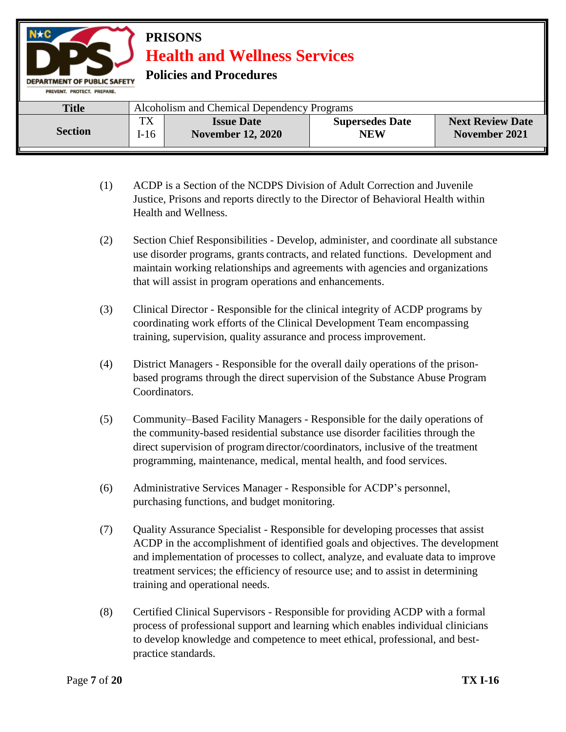

- (1) ACDP is a Section of the NCDPS Division of Adult Correction and Juvenile Justice, Prisons and reports directly to the Director of Behavioral Health within Health and Wellness.
- (2) Section Chief Responsibilities Develop, administer, and coordinate all substance use disorder programs, grants contracts, and related functions. Development and maintain working relationships and agreements with agencies and organizations that will assist in program operations and enhancements.
- (3) Clinical Director Responsible for the clinical integrity of ACDP programs by coordinating work efforts of the Clinical Development Team encompassing training, supervision, quality assurance and process improvement.
- (4) District Managers Responsible for the overall daily operations of the prisonbased programs through the direct supervision of the Substance Abuse Program Coordinators.
- (5) Community–Based Facility Managers Responsible for the daily operations of the community-based residential substance use disorder facilities through the direct supervision of program director/coordinators, inclusive of the treatment programming, maintenance, medical, mental health, and food services.
- (6) Administrative Services Manager Responsible for ACDP's personnel, purchasing functions, and budget monitoring.
- (7) Quality Assurance Specialist Responsible for developing processes that assist ACDP in the accomplishment of identified goals and objectives. The development and implementation of processes to collect, analyze, and evaluate data to improve treatment services; the efficiency of resource use; and to assist in determining training and operational needs.
- (8) Certified Clinical Supervisors Responsible for providing ACDP with a formal process of professional support and learning which enables individual clinicians to develop knowledge and competence to meet ethical, professional, and bestpractice standards.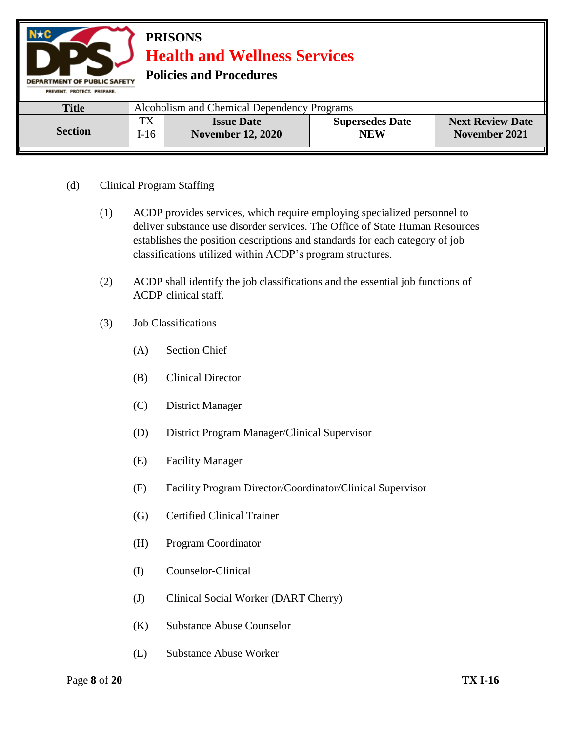

- (d) Clinical Program Staffing
	- (1) ACDP provides services, which require employing specialized personnel to deliver substance use disorder services. The Office of State Human Resources establishes the position descriptions and standards for each category of job classifications utilized within ACDP's program structures.
	- (2) ACDP shall identify the job classifications and the essential job functions of ACDP clinical staff.
	- (3) Job Classifications
		- (A) Section Chief
		- (B) Clinical Director
		- (C) District Manager
		- (D) District Program Manager/Clinical Supervisor
		- (E) Facility Manager
		- (F) Facility Program Director/Coordinator/Clinical Supervisor
		- (G) Certified Clinical Trainer
		- (H) Program Coordinator
		- (I) Counselor-Clinical
		- (J) Clinical Social Worker (DART Cherry)
		- (K) Substance Abuse Counselor
		- (L) Substance Abuse Worker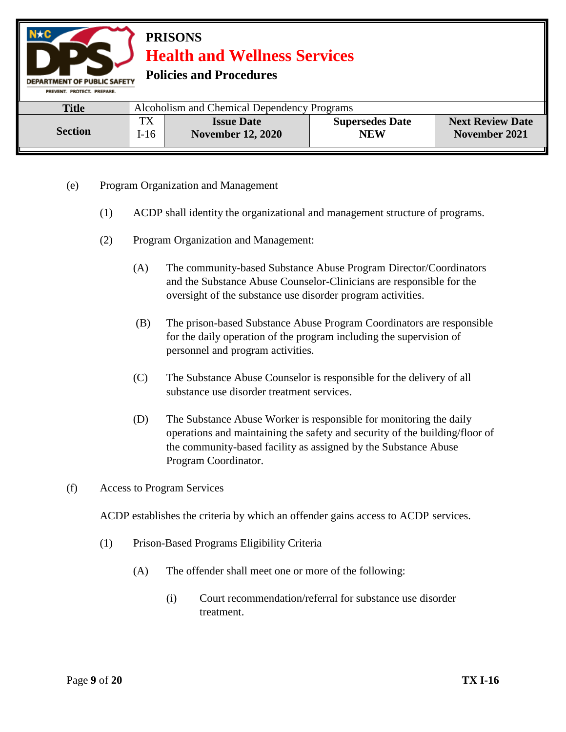

- (e) Program Organization and Management
	- (1) ACDP shall identity the organizational and management structure of programs.
	- (2) Program Organization and Management:
		- (A) The community-based Substance Abuse Program Director/Coordinators and the Substance Abuse Counselor-Clinicians are responsible for the oversight of the substance use disorder program activities.
		- (B) The prison-based Substance Abuse Program Coordinators are responsible for the daily operation of the program including the supervision of personnel and program activities.
		- (C) The Substance Abuse Counselor is responsible for the delivery of all substance use disorder treatment services.
		- (D) The Substance Abuse Worker is responsible for monitoring the daily operations and maintaining the safety and security of the building/floor of the community-based facility as assigned by the Substance Abuse Program Coordinator.
- (f) Access to Program Services

ACDP establishes the criteria by which an offender gains access to ACDP services.

- (1) Prison-Based Programs Eligibility Criteria
	- (A) The offender shall meet one or more of the following:
		- (i) Court recommendation/referral for substance use disorder treatment.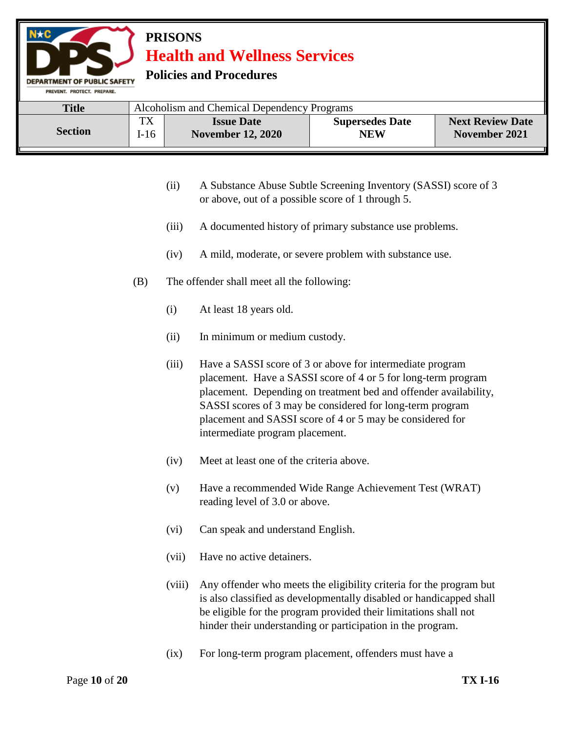

- (ii) A Substance Abuse Subtle Screening Inventory (SASSI) score of 3 or above, out of a possible score of 1 through 5.
- (iii) A documented history of primary substance use problems.
- (iv) A mild, moderate, or severe problem with substance use.
- (B) The offender shall meet all the following:
	- (i) At least 18 years old.
	- (ii) In minimum or medium custody.
	- (iii) Have a SASSI score of 3 or above for intermediate program placement. Have a SASSI score of 4 or 5 for long-term program placement. Depending on treatment bed and offender availability, SASSI scores of 3 may be considered for long-term program placement and SASSI score of 4 or 5 may be considered for intermediate program placement.
	- (iv) Meet at least one of the criteria above.
	- (v) Have a recommended Wide Range Achievement Test (WRAT) reading level of 3.0 or above.
	- (vi) Can speak and understand English.
	- (vii) Have no active detainers.
	- (viii) Any offender who meets the eligibility criteria for the program but is also classified as developmentally disabled or handicapped shall be eligible for the program provided their limitations shall not hinder their understanding or participation in the program.
	- (ix) For long-term program placement, offenders must have a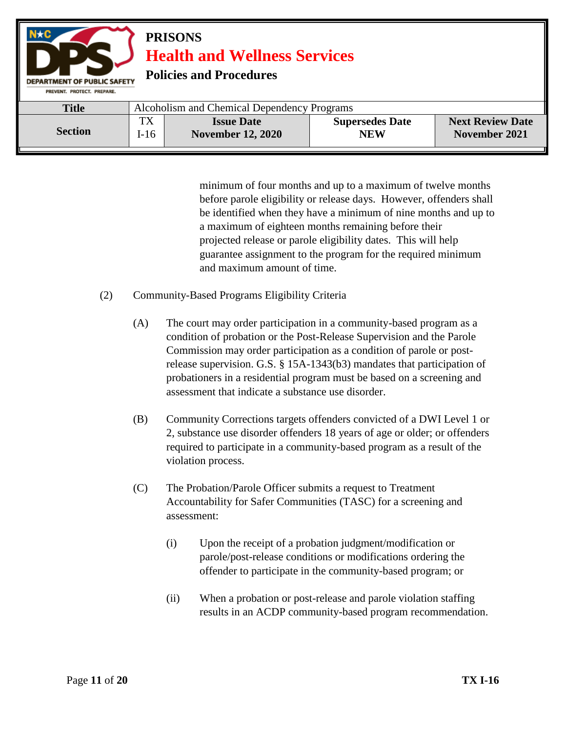

minimum of four months and up to a maximum of twelve months before parole eligibility or release days. However, offenders shall be identified when they have a minimum of nine months and up to a maximum of eighteen months remaining before their projected release or parole eligibility dates. This will help guarantee assignment to the program for the required minimum and maximum amount of time.

- (2) Community-Based Programs Eligibility Criteria
	- (A) The court may order participation in a community-based program as a condition of probation or the Post-Release Supervision and the Parole Commission may order participation as a condition of parole or postrelease supervision. G.S. § 15A-1343(b3) mandates that participation of probationers in a residential program must be based on a screening and assessment that indicate a substance use disorder.
	- (B) Community Corrections targets offenders convicted of a DWI Level 1 or 2, substance use disorder offenders 18 years of age or older; or offenders required to participate in a community-based program as a result of the violation process.
	- (C) The Probation/Parole Officer submits a request to Treatment Accountability for Safer Communities (TASC) for a screening and assessment:
		- (i) Upon the receipt of a probation judgment/modification or parole/post-release conditions or modifications ordering the offender to participate in the community-based program; or
		- (ii) When a probation or post-release and parole violation staffing results in an ACDP community-based program recommendation.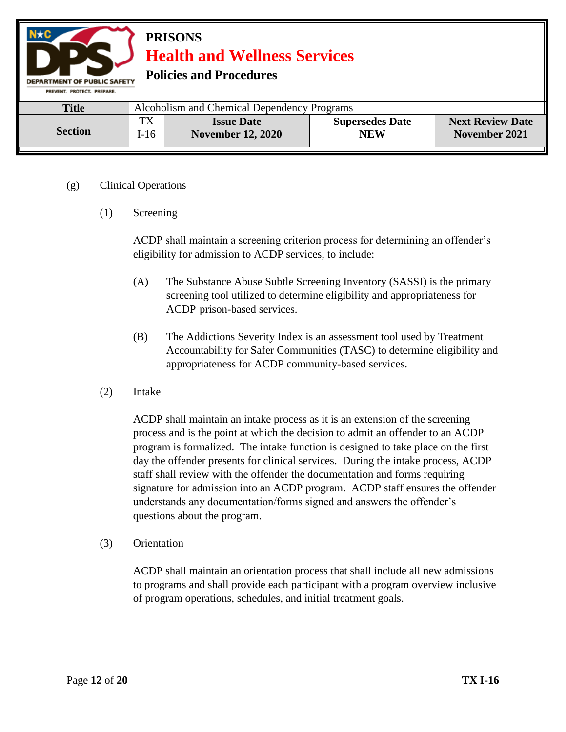

### (g) Clinical Operations

(1) Screening

ACDP shall maintain a screening criterion process for determining an offender's eligibility for admission to ACDP services, to include:

- (A) The Substance Abuse Subtle Screening Inventory (SASSI) is the primary screening tool utilized to determine eligibility and appropriateness for ACDP prison-based services.
- (B) The Addictions Severity Index is an assessment tool used by Treatment Accountability for Safer Communities (TASC) to determine eligibility and appropriateness for ACDP community-based services.
- (2) Intake

ACDP shall maintain an intake process as it is an extension of the screening process and is the point at which the decision to admit an offender to an ACDP program is formalized. The intake function is designed to take place on the first day the offender presents for clinical services. During the intake process, ACDP staff shall review with the offender the documentation and forms requiring signature for admission into an ACDP program. ACDP staff ensures the offender understands any documentation/forms signed and answers the offender's questions about the program.

(3) Orientation

ACDP shall maintain an orientation process that shall include all new admissions to programs and shall provide each participant with a program overview inclusive of program operations, schedules, and initial treatment goals.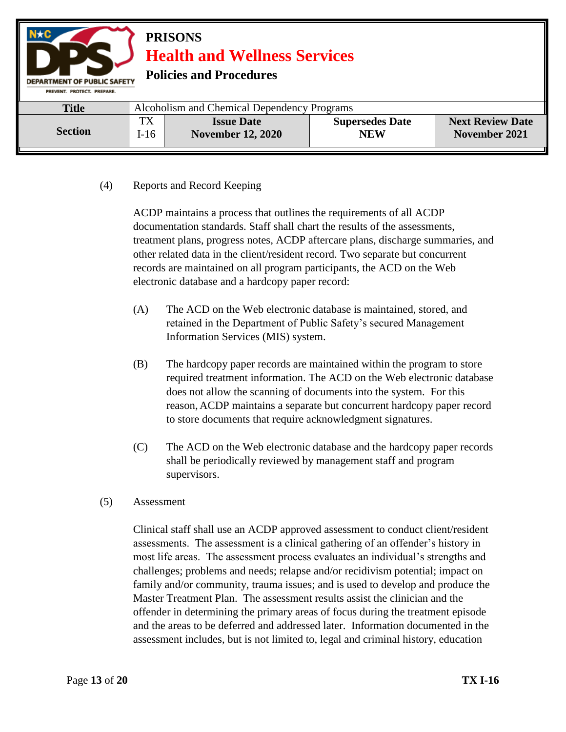

### (4) Reports and Record Keeping

ACDP maintains a process that outlines the requirements of all ACDP documentation standards. Staff shall chart the results of the assessments, treatment plans, progress notes, ACDP aftercare plans, discharge summaries, and other related data in the client/resident record. Two separate but concurrent records are maintained on all program participants, the ACD on the Web electronic database and a hardcopy paper record:

- (A) The ACD on the Web electronic database is maintained, stored, and retained in the Department of Public Safety's secured Management Information Services (MIS) system.
- (B) The hardcopy paper records are maintained within the program to store required treatment information. The ACD on the Web electronic database does not allow the scanning of documents into the system. For this reason, ACDP maintains a separate but concurrent hardcopy paper record to store documents that require acknowledgment signatures.
- (C) The ACD on the Web electronic database and the hardcopy paper records shall be periodically reviewed by management staff and program supervisors.
- (5) Assessment

Clinical staff shall use an ACDP approved assessment to conduct client/resident assessments. The assessment is a clinical gathering of an offender's history in most life areas. The assessment process evaluates an individual's strengths and challenges; problems and needs; relapse and/or recidivism potential; impact on family and/or community, trauma issues; and is used to develop and produce the Master Treatment Plan. The assessment results assist the clinician and the offender in determining the primary areas of focus during the treatment episode and the areas to be deferred and addressed later. Information documented in the assessment includes, but is not limited to, legal and criminal history, education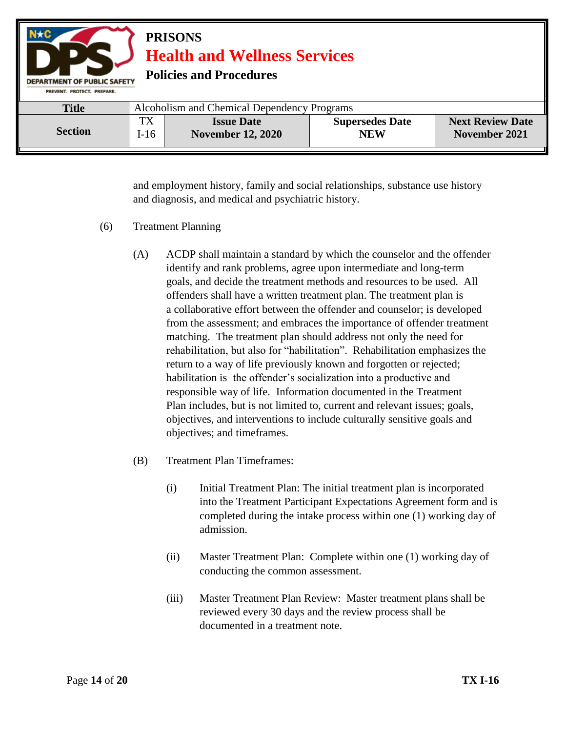| Alcoholism and Chemical Dependency Programs<br><b>Title</b><br>TX<br><b>Next Review Date</b><br><b>Supersedes Date</b><br><b>Issue Date</b><br><b>Section</b> | $N \star C$<br><b>PRISONS</b><br><b>Health and Wellness Services</b><br><b>Policies and Procedures</b><br><b>DEPARTMENT OF PUBLIC SAFETY</b><br>PREVENT, PROTECT, PREPARE, |        |                          |            |               |  |
|---------------------------------------------------------------------------------------------------------------------------------------------------------------|----------------------------------------------------------------------------------------------------------------------------------------------------------------------------|--------|--------------------------|------------|---------------|--|
|                                                                                                                                                               |                                                                                                                                                                            |        |                          |            |               |  |
|                                                                                                                                                               |                                                                                                                                                                            | $I-16$ | <b>November 12, 2020</b> | <b>NEW</b> | November 2021 |  |

and employment history, family and social relationships, substance use history and diagnosis, and medical and psychiatric history.

- (6) Treatment Planning
	- (A) ACDP shall maintain a standard by which the counselor and the offender identify and rank problems, agree upon intermediate and long-term goals, and decide the treatment methods and resources to be used. All offenders shall have a written treatment plan. The treatment plan is a collaborative effort between the offender and counselor; is developed from the assessment; and embraces the importance of offender treatment matching. The treatment plan should address not only the need for rehabilitation, but also for "habilitation". Rehabilitation emphasizes the return to a way of life previously known and forgotten or rejected; habilitation is the offender's socialization into a productive and responsible way of life. Information documented in the Treatment Plan includes, but is not limited to, current and relevant issues; goals, objectives, and interventions to include culturally sensitive goals and objectives; and timeframes.
	- (B) Treatment Plan Timeframes:
		- (i) Initial Treatment Plan: The initial treatment plan is incorporated into the Treatment Participant Expectations Agreement form and is completed during the intake process within one (1) working day of admission.
		- (ii) Master Treatment Plan: Complete within one (1) working day of conducting the common assessment.
		- (iii) Master Treatment Plan Review: Master treatment plans shall be reviewed every 30 days and the review process shall be documented in a treatment note.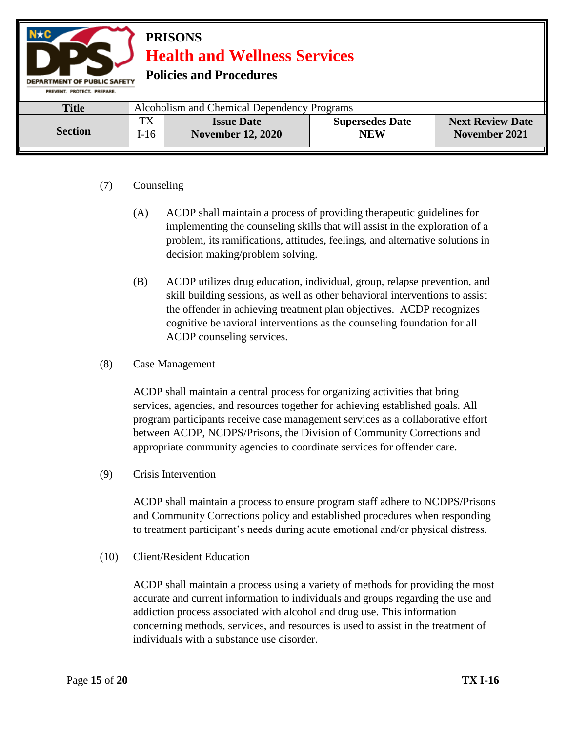

# (7) Counseling

- (A) ACDP shall maintain a process of providing therapeutic guidelines for implementing the counseling skills that will assist in the exploration of a problem, its ramifications, attitudes, feelings, and alternative solutions in decision making/problem solving.
- (B) ACDP utilizes drug education, individual, group, relapse prevention, and skill building sessions, as well as other behavioral interventions to assist the offender in achieving treatment plan objectives. ACDP recognizes cognitive behavioral interventions as the counseling foundation for all ACDP counseling services.
- (8) Case Management

ACDP shall maintain a central process for organizing activities that bring services, agencies, and resources together for achieving established goals. All program participants receive case management services as a collaborative effort between ACDP, NCDPS/Prisons, the Division of Community Corrections and appropriate community agencies to coordinate services for offender care.

(9) Crisis Intervention

ACDP shall maintain a process to ensure program staff adhere to NCDPS/Prisons and Community Corrections policy and established procedures when responding to treatment participant's needs during acute emotional and/or physical distress.

(10) Client/Resident Education

ACDP shall maintain a process using a variety of methods for providing the most accurate and current information to individuals and groups regarding the use and addiction process associated with alcohol and drug use. This information concerning methods, services, and resources is used to assist in the treatment of individuals with a substance use disorder.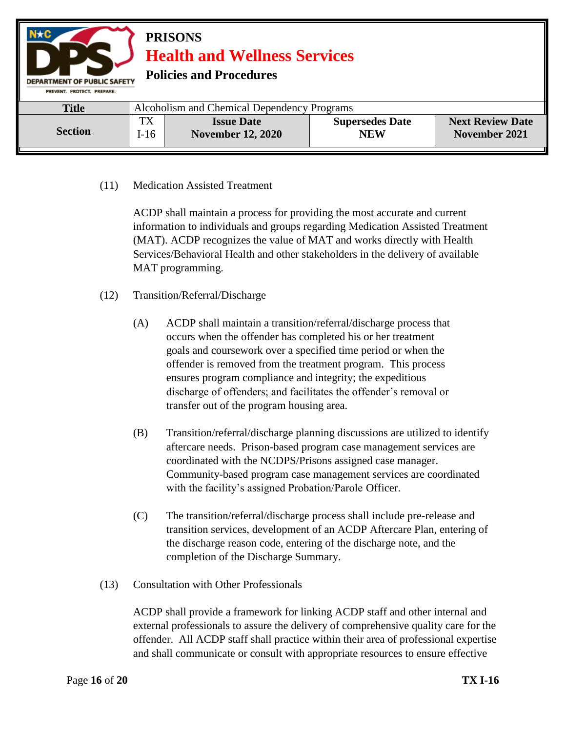

### (11) Medication Assisted Treatment

ACDP shall maintain a process for providing the most accurate and current information to individuals and groups regarding Medication Assisted Treatment (MAT). ACDP recognizes the value of MAT and works directly with Health Services/Behavioral Health and other stakeholders in the delivery of available MAT programming.

- (12) Transition/Referral/Discharge
	- (A) ACDP shall maintain a transition/referral/discharge process that occurs when the offender has completed his or her treatment goals and coursework over a specified time period or when the offender is removed from the treatment program. This process ensures program compliance and integrity; the expeditious discharge of offenders; and facilitates the offender's removal or transfer out of the program housing area.
	- (B) Transition/referral/discharge planning discussions are utilized to identify aftercare needs. Prison-based program case management services are coordinated with the NCDPS/Prisons assigned case manager. Community-based program case management services are coordinated with the facility's assigned Probation/Parole Officer.
	- (C) The transition/referral/discharge process shall include pre-release and transition services, development of an ACDP Aftercare Plan, entering of the discharge reason code, entering of the discharge note, and the completion of the Discharge Summary.
- (13) Consultation with Other Professionals

ACDP shall provide a framework for linking ACDP staff and other internal and external professionals to assure the delivery of comprehensive quality care for the offender. All ACDP staff shall practice within their area of professional expertise and shall communicate or consult with appropriate resources to ensure effective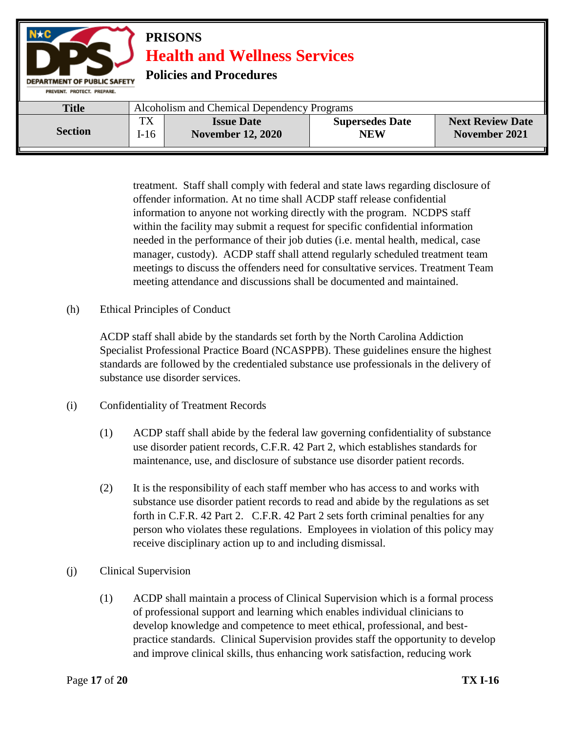| $N \star C$<br><b>PRISONS</b><br><b>Health and Wellness Services</b><br><b>Policies and Procedures</b><br><b>DEPARTMENT OF PUBLIC SAFETY</b><br>PREVENT, PROTECT, PREPARE, |                                             |                                               |                                      |                                          |  |
|----------------------------------------------------------------------------------------------------------------------------------------------------------------------------|---------------------------------------------|-----------------------------------------------|--------------------------------------|------------------------------------------|--|
| <b>Title</b>                                                                                                                                                               | Alcoholism and Chemical Dependency Programs |                                               |                                      |                                          |  |
| <b>Section</b>                                                                                                                                                             | <b>TX</b><br>$I-16$                         | <b>Issue Date</b><br><b>November 12, 2020</b> | <b>Supersedes Date</b><br><b>NEW</b> | <b>Next Review Date</b><br>November 2021 |  |

treatment. Staff shall comply with federal and state laws regarding disclosure of offender information. At no time shall ACDP staff release confidential information to anyone not working directly with the program. NCDPS staff within the facility may submit a request for specific confidential information needed in the performance of their job duties (i.e. mental health, medical, case manager, custody). ACDP staff shall attend regularly scheduled treatment team meetings to discuss the offenders need for consultative services. Treatment Team meeting attendance and discussions shall be documented and maintained.

(h) Ethical Principles of Conduct

ACDP staff shall abide by the standards set forth by the North Carolina Addiction Specialist Professional Practice Board (NCASPPB). These guidelines ensure the highest standards are followed by the credentialed substance use professionals in the delivery of substance use disorder services.

- (i) Confidentiality of Treatment Records
	- (1) ACDP staff shall abide by the federal law governing confidentiality of substance use disorder patient records, C.F.R. 42 Part 2, which establishes standards for maintenance, use, and disclosure of substance use disorder patient records.
	- (2) It is the responsibility of each staff member who has access to and works with substance use disorder patient records to read and abide by the regulations as set forth in C.F.R. 42 Part 2. C.F.R. 42 Part 2 sets forth criminal penalties for any person who violates these regulations. Employees in violation of this policy may receive disciplinary action up to and including dismissal.
- (j) Clinical Supervision
	- (1) ACDP shall maintain a process of Clinical Supervision which is a formal process of professional support and learning which enables individual clinicians to develop knowledge and competence to meet ethical, professional, and bestpractice standards. Clinical Supervision provides staff the opportunity to develop and improve clinical skills, thus enhancing work satisfaction, reducing work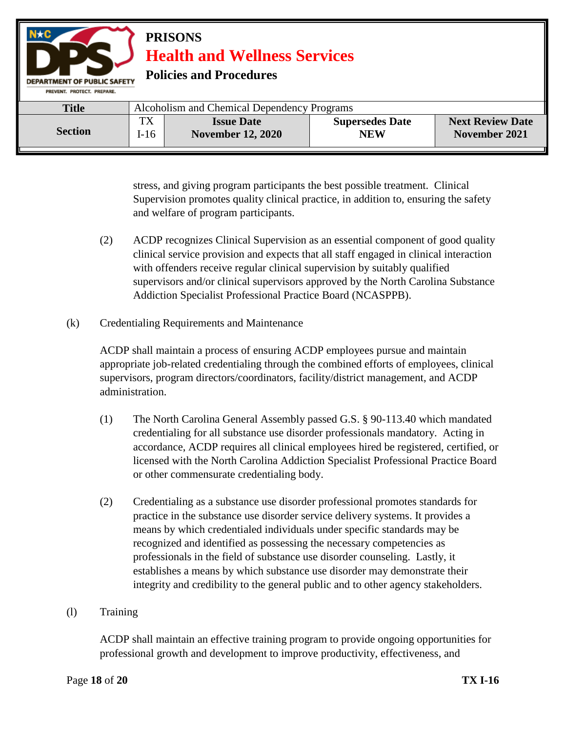

stress, and giving program participants the best possible treatment. Clinical Supervision promotes quality clinical practice, in addition to, ensuring the safety and welfare of program participants.

- (2) ACDP recognizes Clinical Supervision as an essential component of good quality clinical service provision and expects that all staff engaged in clinical interaction with offenders receive regular clinical supervision by suitably qualified supervisors and/or clinical supervisors approved by the North Carolina Substance Addiction Specialist Professional Practice Board (NCASPPB).
- (k) Credentialing Requirements and Maintenance

ACDP shall maintain a process of ensuring ACDP employees pursue and maintain appropriate job-related credentialing through the combined efforts of employees, clinical supervisors, program directors/coordinators, facility/district management, and ACDP administration.

- (1) The North Carolina General Assembly passed G.S. § 90-113.40 which mandated credentialing for all substance use disorder professionals mandatory. Acting in accordance, ACDP requires all clinical employees hired be registered, certified, or licensed with the North Carolina Addiction Specialist Professional Practice Board or other commensurate credentialing body.
- (2) Credentialing as a substance use disorder professional promotes standards for practice in the substance use disorder service delivery systems. It provides a means by which credentialed individuals under specific standards may be recognized and identified as possessing the necessary competencies as professionals in the field of substance use disorder counseling. Lastly, it establishes a means by which substance use disorder may demonstrate their integrity and credibility to the general public and to other agency stakeholders.

### (l) Training

ACDP shall maintain an effective training program to provide ongoing opportunities for professional growth and development to improve productivity, effectiveness, and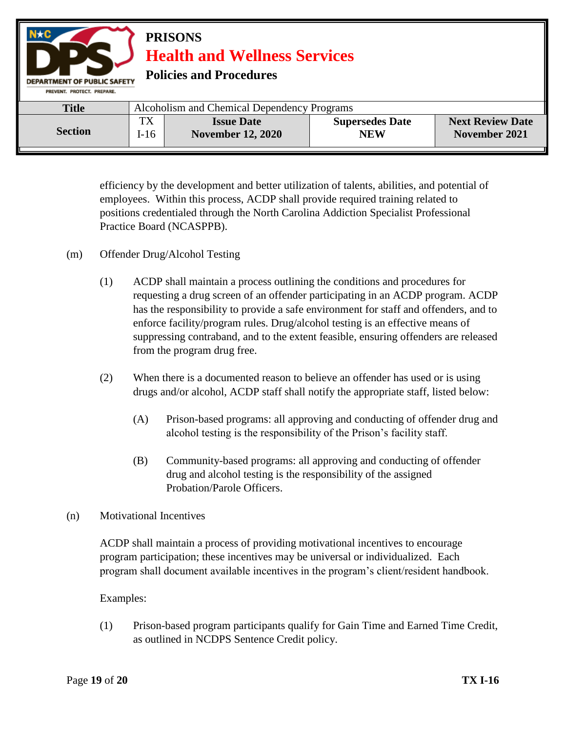| $N \star C$<br><b>PRISONS</b><br><b>Health and Wellness Services</b><br><b>Policies and Procedures</b><br><b>DEPARTMENT OF PUBLIC SAFETY</b><br>PREVENT, PROTECT, PREPARE, |                                             |                                               |                                      |                                          |  |
|----------------------------------------------------------------------------------------------------------------------------------------------------------------------------|---------------------------------------------|-----------------------------------------------|--------------------------------------|------------------------------------------|--|
| <b>Title</b>                                                                                                                                                               | Alcoholism and Chemical Dependency Programs |                                               |                                      |                                          |  |
| <b>Section</b>                                                                                                                                                             | TX<br>$I-16$                                | <b>Issue Date</b><br><b>November 12, 2020</b> | <b>Supersedes Date</b><br><b>NEW</b> | <b>Next Review Date</b><br>November 2021 |  |

efficiency by the development and better utilization of talents, abilities, and potential of employees. Within this process, ACDP shall provide required training related to positions credentialed through the North Carolina Addiction Specialist Professional Practice Board (NCASPPB).

- (m) Offender Drug/Alcohol Testing
	- (1) ACDP shall maintain a process outlining the conditions and procedures for requesting a drug screen of an offender participating in an ACDP program. ACDP has the responsibility to provide a safe environment for staff and offenders, and to enforce facility/program rules. Drug/alcohol testing is an effective means of suppressing contraband, and to the extent feasible, ensuring offenders are released from the program drug free.
	- (2) When there is a documented reason to believe an offender has used or is using drugs and/or alcohol, ACDP staff shall notify the appropriate staff, listed below:
		- (A) Prison-based programs: all approving and conducting of offender drug and alcohol testing is the responsibility of the Prison's facility staff.
		- (B) Community-based programs: all approving and conducting of offender drug and alcohol testing is the responsibility of the assigned Probation/Parole Officers.
- (n) Motivational Incentives

ACDP shall maintain a process of providing motivational incentives to encourage program participation; these incentives may be universal or individualized. Each program shall document available incentives in the program's client/resident handbook.

### Examples:

(1) Prison-based program participants qualify for Gain Time and Earned Time Credit, as outlined in NCDPS Sentence Credit policy.